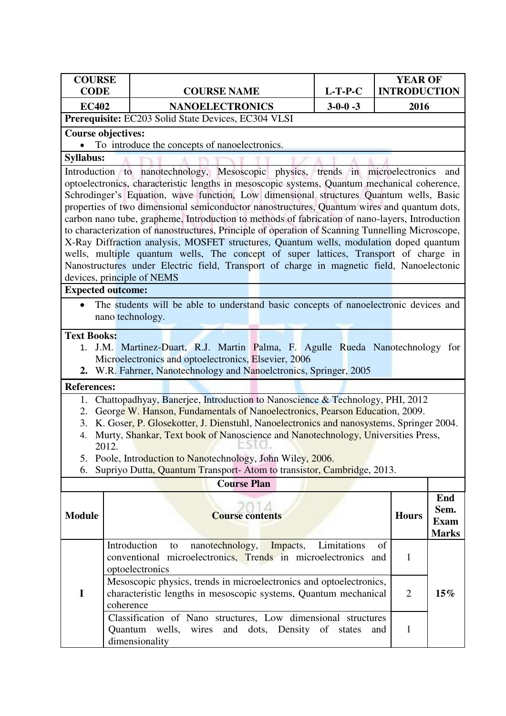| <b>COURSE</b><br><b>CODE</b>                                                                                                                                                |                                                                                                                                                                                                                                                                                                                                                                                                                                                                                             | <b>COURSE NAME</b>                                                                                                                                                                                                                                                                                                                                                                                                                                                                                                                                                                                                                                                                                                                                                                                                                                                                          | $L-T-P-C$       | <b>YEAR OF</b><br><b>INTRODUCTION</b> |                                            |
|-----------------------------------------------------------------------------------------------------------------------------------------------------------------------------|---------------------------------------------------------------------------------------------------------------------------------------------------------------------------------------------------------------------------------------------------------------------------------------------------------------------------------------------------------------------------------------------------------------------------------------------------------------------------------------------|---------------------------------------------------------------------------------------------------------------------------------------------------------------------------------------------------------------------------------------------------------------------------------------------------------------------------------------------------------------------------------------------------------------------------------------------------------------------------------------------------------------------------------------------------------------------------------------------------------------------------------------------------------------------------------------------------------------------------------------------------------------------------------------------------------------------------------------------------------------------------------------------|-----------------|---------------------------------------|--------------------------------------------|
| <b>EC402</b>                                                                                                                                                                |                                                                                                                                                                                                                                                                                                                                                                                                                                                                                             | <b>NANOELECTRONICS</b>                                                                                                                                                                                                                                                                                                                                                                                                                                                                                                                                                                                                                                                                                                                                                                                                                                                                      | $3 - 0 - 0 - 3$ | 2016                                  |                                            |
|                                                                                                                                                                             |                                                                                                                                                                                                                                                                                                                                                                                                                                                                                             | Prerequisite: EC203 Solid State Devices, EC304 VLSI                                                                                                                                                                                                                                                                                                                                                                                                                                                                                                                                                                                                                                                                                                                                                                                                                                         |                 |                                       |                                            |
| <b>Course objectives:</b>                                                                                                                                                   |                                                                                                                                                                                                                                                                                                                                                                                                                                                                                             |                                                                                                                                                                                                                                                                                                                                                                                                                                                                                                                                                                                                                                                                                                                                                                                                                                                                                             |                 |                                       |                                            |
|                                                                                                                                                                             |                                                                                                                                                                                                                                                                                                                                                                                                                                                                                             | To introduce the concepts of nanoelectronics.                                                                                                                                                                                                                                                                                                                                                                                                                                                                                                                                                                                                                                                                                                                                                                                                                                               |                 |                                       |                                            |
| <b>Syllabus:</b>                                                                                                                                                            |                                                                                                                                                                                                                                                                                                                                                                                                                                                                                             |                                                                                                                                                                                                                                                                                                                                                                                                                                                                                                                                                                                                                                                                                                                                                                                                                                                                                             |                 |                                       |                                            |
|                                                                                                                                                                             |                                                                                                                                                                                                                                                                                                                                                                                                                                                                                             | Introduction to nanotechnology, Mesoscopic physics, trends in microelectronics<br>optoelectronics, characteristic lengths in mesoscopic systems, Quantum mechanical coherence,<br>Schrodinger's Equation, wave function, Low dimensional structures Quantum wells, Basic<br>properties of two dimensional semiconductor nanostructures, Quantum wires and quantum dots,<br>carbon nano tube, grapheme, Introduction to methods of fabrication of nano-layers, Introduction<br>to characterization of nanostructures, Principle of operation of Scanning Tunnelling Microscope,<br>X-Ray Diffraction analysis, MOSFET structures, Quantum wells, modulation doped quantum<br>wells, multiple quantum wells, The concept of super lattices, Transport of charge in<br>Nanostructures under Electric field, Transport of charge in magnetic field, Nanoelectonic<br>devices, principle of NEMS |                 |                                       | and                                        |
| <b>Expected outcome:</b>                                                                                                                                                    |                                                                                                                                                                                                                                                                                                                                                                                                                                                                                             |                                                                                                                                                                                                                                                                                                                                                                                                                                                                                                                                                                                                                                                                                                                                                                                                                                                                                             |                 |                                       |                                            |
|                                                                                                                                                                             |                                                                                                                                                                                                                                                                                                                                                                                                                                                                                             | The students will be able to understand basic concepts of nanoelectronic devices and<br>nano technology.                                                                                                                                                                                                                                                                                                                                                                                                                                                                                                                                                                                                                                                                                                                                                                                    |                 |                                       |                                            |
| <b>Text Books:</b><br>1.                                                                                                                                                    |                                                                                                                                                                                                                                                                                                                                                                                                                                                                                             | J.M. Martinez-Duart, R.J. Martin Palma, F. Agulle Rueda Nanotechnology for<br>Microelectronics and optoelectronics, Elsevier, 2006<br>2. W.R. Fahrner, Nanotechnology and Nanoelctronics, Springer, 2005                                                                                                                                                                                                                                                                                                                                                                                                                                                                                                                                                                                                                                                                                    |                 |                                       |                                            |
| <b>References:</b>                                                                                                                                                          |                                                                                                                                                                                                                                                                                                                                                                                                                                                                                             |                                                                                                                                                                                                                                                                                                                                                                                                                                                                                                                                                                                                                                                                                                                                                                                                                                                                                             |                 |                                       |                                            |
| 1.<br>2.<br>3.<br>4.<br>6.                                                                                                                                                  | Chattopadhyay, Banerjee, Introduction to Nanoscience & Technology, PHI, 2012<br>George W. Hanson, Fundamentals of Nanoelectronics, Pearson Education, 2009.<br>K. Goser, P. Glosekotter, J. Dienstuhl, Nanoelectronics and nanosystems, Springer 2004.<br>Murty, Shankar, Text book of Nanoscience and Nanotechnology, Universities Press,<br>2012.<br>5. Poole, Introduction to Nanotechnology, John Wiley, 2006.<br>Supriyo Dutta, Quantum Transport-Atom to transistor, Cambridge, 2013. |                                                                                                                                                                                                                                                                                                                                                                                                                                                                                                                                                                                                                                                                                                                                                                                                                                                                                             |                 |                                       |                                            |
|                                                                                                                                                                             |                                                                                                                                                                                                                                                                                                                                                                                                                                                                                             | <b>Course Plan</b>                                                                                                                                                                                                                                                                                                                                                                                                                                                                                                                                                                                                                                                                                                                                                                                                                                                                          |                 |                                       |                                            |
| <b>Module</b>                                                                                                                                                               |                                                                                                                                                                                                                                                                                                                                                                                                                                                                                             | <b>Course contents</b>                                                                                                                                                                                                                                                                                                                                                                                                                                                                                                                                                                                                                                                                                                                                                                                                                                                                      |                 | <b>Hours</b>                          | End<br>Sem.<br><b>Exam</b><br><b>Marks</b> |
|                                                                                                                                                                             |                                                                                                                                                                                                                                                                                                                                                                                                                                                                                             | Introduction<br>Impacts,<br>nanotechnology,<br>to<br>conventional microelectronics, Trends in microelectronics<br>optoelectronics                                                                                                                                                                                                                                                                                                                                                                                                                                                                                                                                                                                                                                                                                                                                                           | Limitations     | οf<br>$\mathbf{1}$<br>and             |                                            |
| Mesoscopic physics, trends in microelectronics and optoelectronics,<br>characteristic lengths in mesoscopic systems, Quantum mechanical<br>I<br>$\overline{2}$<br>coherence |                                                                                                                                                                                                                                                                                                                                                                                                                                                                                             |                                                                                                                                                                                                                                                                                                                                                                                                                                                                                                                                                                                                                                                                                                                                                                                                                                                                                             |                 |                                       | $15\%$                                     |
|                                                                                                                                                                             |                                                                                                                                                                                                                                                                                                                                                                                                                                                                                             | Classification of Nano structures, Low dimensional structures<br>Quantum wells, wires and dots, Density of states<br>dimensionality                                                                                                                                                                                                                                                                                                                                                                                                                                                                                                                                                                                                                                                                                                                                                         |                 | $\mathbf{1}$<br>and                   |                                            |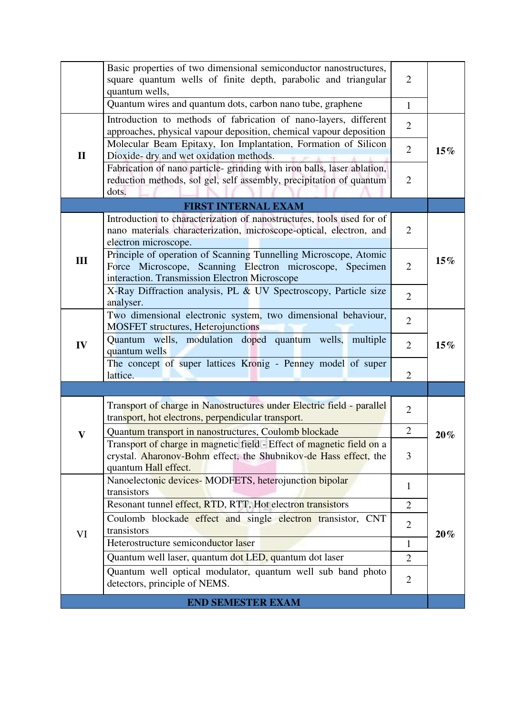|              | Basic properties of two dimensional semiconductor nanostructures,<br>square quantum wells of finite depth, parabolic and triangular<br>quantum wells,                         | $\overline{2}$ |        |
|--------------|-------------------------------------------------------------------------------------------------------------------------------------------------------------------------------|----------------|--------|
|              | Quantum wires and quantum dots, carbon nano tube, graphene                                                                                                                    | $\mathbf{1}$   |        |
|              | Introduction to methods of fabrication of nano-layers, different<br>approaches, physical vapour deposition, chemical vapour deposition                                        | $\overline{2}$ |        |
| $\mathbf{I}$ | Molecular Beam Epitaxy, Ion Implantation, Formation of Silicon<br>Dioxide- dry and wet oxidation methods.                                                                     | $\overline{2}$ | $15\%$ |
|              | Fabrication of nano particle-grinding with iron balls, laser ablation,<br>reduction methods, sol gel, self assembly, precipitation of quantum<br>dots.                        | $\overline{2}$ |        |
|              | <b>FIRST INTERNAL EXAM</b>                                                                                                                                                    |                |        |
|              | Introduction to characterization of nanostructures, tools used for of<br>nano materials characterization, microscope-optical, electron, and<br>electron microscope.           | $\overline{2}$ |        |
| III          | Principle of operation of Scanning Tunnelling Microscope, Atomic<br>Force Microscope, Scanning Electron microscope, Specimen<br>interaction. Transmission Electron Microscope | $\overline{2}$ | 15%    |
|              | X-Ray Diffraction analysis, PL & UV Spectroscopy, Particle size<br>analyser.                                                                                                  | $\overline{2}$ |        |
|              | Two dimensional electronic system, two dimensional behaviour,<br><b>MOSFET</b> structures, Heterojunctions                                                                    | $\overline{2}$ |        |
| IV           | Quantum wells, modulation doped quantum wells,<br>multiple<br>quantum wells                                                                                                   | $\overline{2}$ | $15\%$ |
|              | The concept of super lattices Kronig - Penney model of super<br>lattice.                                                                                                      | $\overline{2}$ |        |
|              |                                                                                                                                                                               |                |        |
|              | Transport of charge in Nanostructures under Electric field - parallel<br>transport, hot electrons, perpendicular transport.                                                   | $\overline{2}$ |        |
| $\mathbf V$  | Quantum transport in nanostructures, Coulomb blockade                                                                                                                         | $\overline{2}$ | $20\%$ |
|              | Transport of charge in magnetic field - Effect of magnetic field on a<br>crystal. Aharonov-Bohm effect, the Shubnikov-de Hass effect, the<br>quantum Hall effect.             | 3              |        |
|              | Nanoelectonic devices-MODFETS, heterojunction bipolar<br>transistors                                                                                                          | 1              |        |
|              | Resonant tunnel effect, RTD, RTT, Hot electron transistors                                                                                                                    | $\overline{2}$ |        |
| VI           | Coulomb blockade effect and single electron transistor, CNT<br>transistors                                                                                                    | $\overline{2}$ | 20%    |
|              | Heterostructure semiconductor laser                                                                                                                                           | 1              |        |
|              | Quantum well laser, quantum dot LED, quantum dot laser                                                                                                                        | $\overline{2}$ |        |
|              | Quantum well optical modulator, quantum well sub band photo<br>detectors, principle of NEMS.                                                                                  | $\overline{2}$ |        |
|              | <b>END SEMESTER EXAM</b>                                                                                                                                                      |                |        |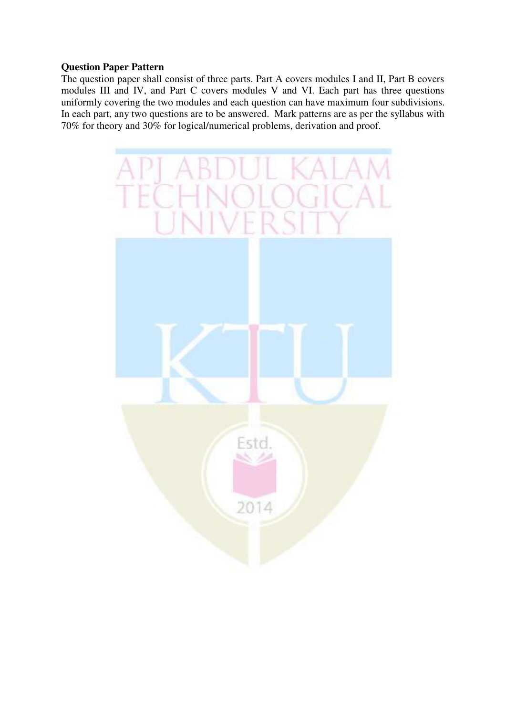The question paper shall consist of three parts. Part A covers modules I and II, Part B covers modules III and IV, and Part C covers modules V and VI. Each part has three questions uniformly covering the two modules and each question can have maximum four subdivisions. In each part, any two questions are to be answered. Mark patterns are as per the syllabus with 70% for theory and 30% for logical/numerical problems, derivation and proof.

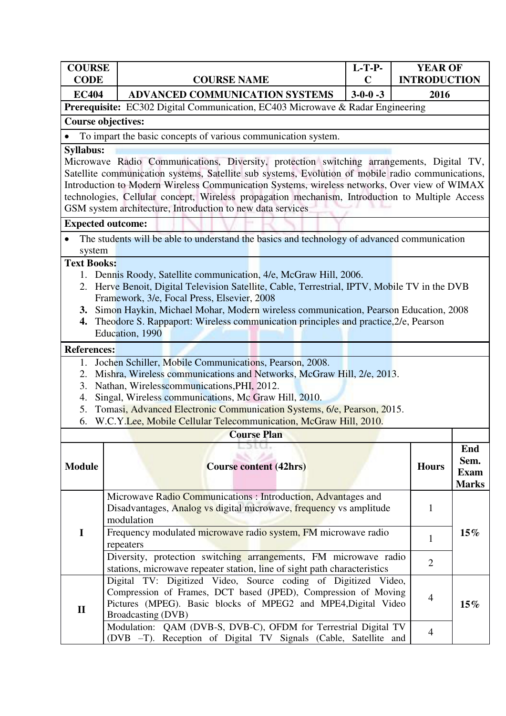| <b>COURSE</b><br><b>CODE</b>                                        | <b>COURSE NAME</b>                                                                                                                                                 | <b>L-T-P-</b><br>$\mathbf C$ | <b>YEAR OF</b><br><b>INTRODUCTION</b> |              |
|---------------------------------------------------------------------|--------------------------------------------------------------------------------------------------------------------------------------------------------------------|------------------------------|---------------------------------------|--------------|
| <b>EC404</b>                                                        | ADVANCED COMMUNICATION SYSTEMS                                                                                                                                     | $3-0-0-3$                    | 2016                                  |              |
|                                                                     | <b>Prerequisite:</b> EC302 Digital Communication, EC403 Microwave & Radar Engineering                                                                              |                              |                                       |              |
|                                                                     | <b>Course objectives:</b>                                                                                                                                          |                              |                                       |              |
|                                                                     | To impart the basic concepts of various communication system.                                                                                                      |                              |                                       |              |
| <b>Syllabus:</b>                                                    |                                                                                                                                                                    |                              |                                       |              |
|                                                                     | Microwave Radio Communications, Diversity, protection switching arrangements, Digital TV,                                                                          |                              |                                       |              |
|                                                                     | Satellite communication systems, Satellite sub systems, Evolution of mobile radio communications,                                                                  |                              |                                       |              |
|                                                                     | Introduction to Modern Wireless Communication Systems, wireless networks, Over view of WIMAX                                                                       |                              |                                       |              |
|                                                                     | technologies, Cellular concept, Wireless propagation mechanism, Introduction to Multiple Access                                                                    |                              |                                       |              |
|                                                                     | GSM system architecture, Introduction to new data services                                                                                                         |                              |                                       |              |
|                                                                     | <b>Expected outcome:</b>                                                                                                                                           |                              |                                       |              |
|                                                                     | The students will be able to understand the basics and technology of advanced communication                                                                        |                              |                                       |              |
| system                                                              |                                                                                                                                                                    |                              |                                       |              |
| <b>Text Books:</b>                                                  |                                                                                                                                                                    |                              |                                       |              |
|                                                                     | 1. Dennis Roody, Satellite communication, 4/e, McGraw Hill, 2006.<br>2. Herve Benoit, Digital Television Satellite, Cable, Terrestrial, IPTV, Mobile TV in the DVB |                              |                                       |              |
|                                                                     | Framework, 3/e, Focal Press, Elsevier, 2008                                                                                                                        |                              |                                       |              |
| <b>3.</b>                                                           | Simon Haykin, Michael Mohar, Modern wireless communication, Pearson Education, 2008                                                                                |                              |                                       |              |
| 4.                                                                  | Theodore S. Rappaport: Wireless communication principles and practice, 2/e, Pearson                                                                                |                              |                                       |              |
|                                                                     | Education, 1990                                                                                                                                                    |                              |                                       |              |
| <b>References:</b>                                                  |                                                                                                                                                                    |                              |                                       |              |
| 1.                                                                  | Jochen Schiller, Mobile Communications, Pearson, 2008.                                                                                                             |                              |                                       |              |
| 2.                                                                  | Mishra, Wireless communications and Networks, McGraw Hill, 2/e, 2013.                                                                                              |                              |                                       |              |
| 3.                                                                  | Nathan, Wirelesscommunications, PHI, 2012.                                                                                                                         |                              |                                       |              |
| 4.                                                                  | Singal, Wireless communications, Mc Graw Hill, 2010.                                                                                                               |                              |                                       |              |
| 5.<br>6.                                                            | Tomasi, Advanced Electronic Communication Systems, 6/e, Pearson, 2015.<br>W.C.Y.Lee, Mobile Cellular Telecommunication, McGraw Hill, 2010.                         |                              |                                       |              |
|                                                                     | <b>Course Plan</b>                                                                                                                                                 |                              |                                       |              |
|                                                                     | 29 U.S.                                                                                                                                                            |                              |                                       | End          |
|                                                                     |                                                                                                                                                                    |                              |                                       | Sem.         |
| <b>Module</b>                                                       | <b>Course content (42hrs)</b>                                                                                                                                      |                              | <b>Hours</b>                          | <b>Exam</b>  |
|                                                                     |                                                                                                                                                                    |                              |                                       | <b>Marks</b> |
|                                                                     | Microwave Radio Communications : Introduction, Advantages and                                                                                                      |                              |                                       |              |
|                                                                     | Disadvantages, Analog vs digital microwave, frequency vs amplitude                                                                                                 |                              | $\mathbf{1}$                          |              |
|                                                                     | modulation                                                                                                                                                         |                              |                                       |              |
| $\mathbf I$                                                         | Frequency modulated microwave radio system, FM microwave radio                                                                                                     |                              | $\mathbf{1}$                          | $15\%$       |
|                                                                     | repeaters<br>Diversity, protection switching arrangements, FM microwave radio                                                                                      |                              |                                       |              |
|                                                                     | stations, microwave repeater station, line of sight path characteristics                                                                                           |                              | $\overline{2}$                        |              |
|                                                                     | Digital TV: Digitized Video, Source coding of Digitized Video,                                                                                                     |                              |                                       |              |
|                                                                     | Compression of Frames, DCT based (JPED), Compression of Moving                                                                                                     |                              |                                       |              |
| 4<br>Pictures (MPEG). Basic blocks of MPEG2 and MPE4, Digital Video |                                                                                                                                                                    |                              |                                       |              |
|                                                                     |                                                                                                                                                                    |                              |                                       | $15\%$       |
| $\mathbf{I}$                                                        | Broadcasting (DVB)<br>Modulation: QAM (DVB-S, DVB-C), OFDM for Terrestrial Digital TV                                                                              |                              |                                       |              |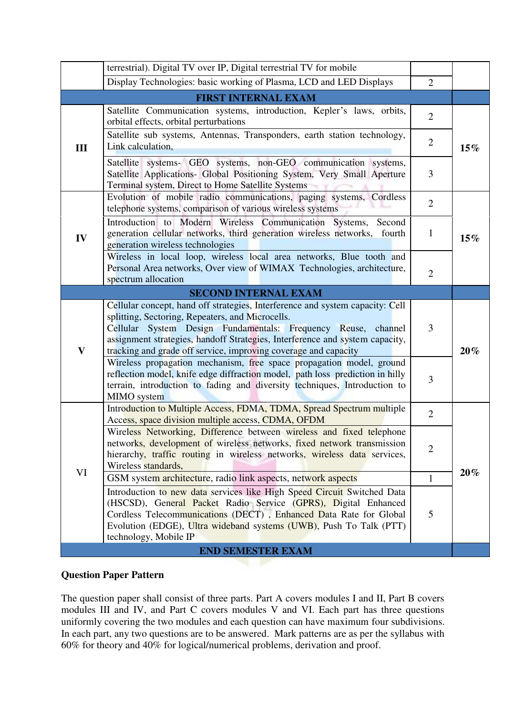|              | terrestrial). Digital TV over IP, Digital terrestrial TV for mobile                                                                                                                                                                                                                                                                                   |                |        |
|--------------|-------------------------------------------------------------------------------------------------------------------------------------------------------------------------------------------------------------------------------------------------------------------------------------------------------------------------------------------------------|----------------|--------|
|              | Display Technologies: basic working of Plasma, LCD and LED Displays                                                                                                                                                                                                                                                                                   | $\overline{2}$ |        |
|              | <b>FIRST INTERNAL EXAM</b>                                                                                                                                                                                                                                                                                                                            |                |        |
|              | Satellite Communication systems, introduction, Kepler's laws, orbits,<br>orbital effects, orbital perturbations                                                                                                                                                                                                                                       | $\overline{2}$ |        |
| III          | Satellite sub systems, Antennas, Transponders, earth station technology,<br>Link calculation,                                                                                                                                                                                                                                                         | $\overline{2}$ | 15%    |
|              | Satellite systems- GEO systems, non-GEO communication systems,<br>Satellite Applications- Global Positioning System, Very Small Aperture<br>Terminal system, Direct to Home Satellite Systems                                                                                                                                                         | 3              |        |
|              | Evolution of mobile radio communications, paging systems, Cordless<br>telephone systems, comparison of various wireless systems                                                                                                                                                                                                                       | $\overline{2}$ |        |
| IV           | Introduction to Modern Wireless Communication Systems, Second<br>generation cellular networks, third generation wireless networks, fourth<br>generation wireless technologies                                                                                                                                                                         | $\mathbf{1}$   | $15\%$ |
|              | Wireless in local loop, wireless local area networks, Blue tooth and<br>Personal Area networks, Over view of WIMAX Technologies, architecture,<br>spectrum allocation                                                                                                                                                                                 | $\overline{2}$ |        |
|              |                                                                                                                                                                                                                                                                                                                                                       |                |        |
| $\mathbf{V}$ | Cellular concept, hand off strategies, Interference and system capacity: Cell<br>splitting, Sectoring, Repeaters, and Microcells.<br>Cellular System Design Fundamentals: Frequency Reuse, channel<br>assignment strategies, handoff Strategies, Interference and system capacity,<br>tracking and grade off service, improving coverage and capacity | 3              | $20\%$ |
|              | Wireless propagation mechanism, free space propagation model, ground<br>reflection model, knife edge diffraction model, path loss prediction in hilly<br>terrain, introduction to fading and diversity techniques, Introduction to<br>MIMO system                                                                                                     | 3              |        |
|              | Introduction to Multiple Access, FDMA, TDMA, Spread Spectrum multiple<br>Access, space division multiple access, CDMA, OFDM                                                                                                                                                                                                                           | $\overline{2}$ |        |
|              | Wireless Networking, Difference between wireless and fixed telephone<br>networks, development of wireless networks, fixed network transmission<br>hierarchy, traffic routing in wireless networks, wireless data services,<br>Wireless standards,                                                                                                     | $\overline{2}$ |        |
| VI           | GSM system architecture, radio link aspects, network aspects                                                                                                                                                                                                                                                                                          | $\mathbf{1}$   | $20\%$ |
|              | Introduction to new data services like High Speed Circuit Switched Data<br>(HSCSD), General Packet Radio Service (GPRS), Digital Enhanced<br>Cordless Telecommunications (DECT), Enhanced Data Rate for Global<br>Evolution (EDGE), Ultra wideband systems (UWB), Push To Talk (PTT)<br>technology, Mobile IP                                         | 5              |        |
|              | <b>END SEMESTER EXAM</b>                                                                                                                                                                                                                                                                                                                              |                |        |

The question paper shall consist of three parts. Part A covers modules I and II, Part B covers modules III and IV, and Part C covers modules V and VI. Each part has three questions uniformly covering the two modules and each question can have maximum four subdivisions. In each part, any two questions are to be answered. Mark patterns are as per the syllabus with 60% for theory and 40% for logical/numerical problems, derivation and proof.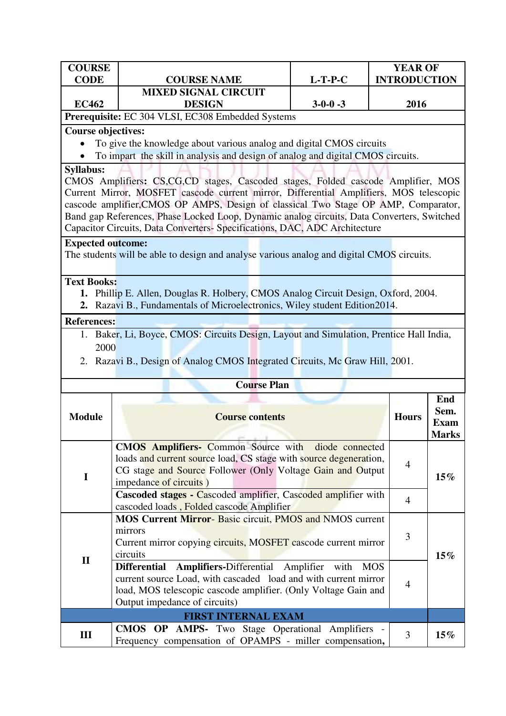| <b>COURSE</b>                                     |                             |           | <b>YEAR OF</b>      |  |
|---------------------------------------------------|-----------------------------|-----------|---------------------|--|
| <b>CODE</b>                                       | <b>COURSE NAME</b>          | $L-T-P-C$ | <b>INTRODUCTION</b> |  |
|                                                   | <b>MIXED SIGNAL CIRCUIT</b> |           |                     |  |
| <b>EC462</b>                                      | <b>DESIGN</b>               | $3-0-0-3$ | 2016                |  |
| Prerequisite: EC 304 VLSI, EC308 Embedded Systems |                             |           |                     |  |

## **Course objectives:**

To give the knowledge about various analog and digital CMOS circuits

To impart the skill in analysis and design of analog and digital CMOS circuits.

#### **Syllabus:**

CMOS Amplifiers**:** CS,CG,CD stages, Cascoded stages, Folded cascode Amplifier, MOS Current Mirror, MOSFET cascode current mirror, Differential Amplifiers, MOS telescopic cascode amplifier,CMOS OP AMPS, Design of classical Two Stage OP AMP, Comparator, Band gap References, Phase Locked Loop, Dynamic analog circuits, Data Converters, Switched Capacitor Circuits, Data Converters- Specifications, DAC, ADC Architecture

#### **Expected outcome:**

The students will be able to design and analyse various analog and digital CMOS circuits.

#### **Text Books:**

- **1.** Phillip E. Allen, Douglas R. Holbery, CMOS Analog Circuit Design, Oxford, 2004.
- **2.** Razavi B., Fundamentals of Microelectronics, Wiley student Edition2014.

#### **References:**

- 1. Baker, Li, Boyce, CMOS: Circuits Design, Layout and Simulation, Prentice Hall India, 2000
- 2. Razavi B., Design of Analog CMOS Integrated Circuits, Mc Graw Hill, 2001.

|               | <b>Course Plan</b>                                                                                                                                                                                                                      |                          |                                            |  |  |
|---------------|-----------------------------------------------------------------------------------------------------------------------------------------------------------------------------------------------------------------------------------------|--------------------------|--------------------------------------------|--|--|
| <b>Module</b> | <b>Course contents</b>                                                                                                                                                                                                                  | <b>Hours</b>             | End<br>Sem.<br><b>Exam</b><br><b>Marks</b> |  |  |
| I             | <b>CMOS Amplifiers-</b> Common Source with diode connected<br>loads and current source load, CS stage with source degeneration,<br>CG stage and Source Follower (Only Voltage Gain and Output<br>impedance of circuits)                 | $\overline{4}$<br>$15\%$ |                                            |  |  |
|               | <b>Cascoded stages - Cascoded amplifier, Cascoded amplifier with</b><br>cascoded loads, Folded cascode Amplifier                                                                                                                        | $\overline{4}$           |                                            |  |  |
|               | <b>MOS Current Mirror-Basic circuit, PMOS and NMOS current</b><br>mirrors<br>Current mirror copying circuits, MOSFET cascode current mirror<br>circuits                                                                                 |                          | $15\%$                                     |  |  |
| $\mathbf{I}$  | Differential Amplifiers-Differential Amplifier with<br><b>MOS</b><br>current source Load, with cascaded load and with current mirror<br>load, MOS telescopic cascode amplifier. (Only Voltage Gain and<br>Output impedance of circuits) | 4                        |                                            |  |  |
|               | <b>FIRST INTERNAL EXAM</b>                                                                                                                                                                                                              |                          |                                            |  |  |
| III           | <b>CMOS OP AMPS-</b> Two Stage Operational Amplifiers -<br>Frequency compensation of OPAMPS - miller compensation,                                                                                                                      | 3                        | $15\%$                                     |  |  |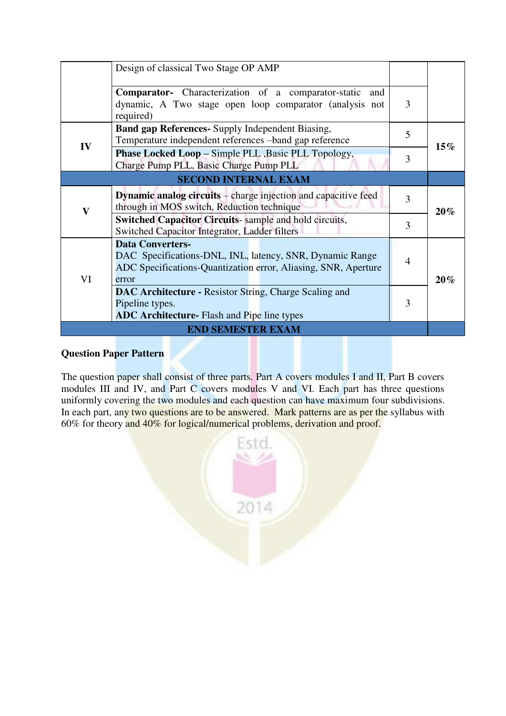|                          | Design of classical Two Stage OP AMP                                                                                                                           |                |        |  |
|--------------------------|----------------------------------------------------------------------------------------------------------------------------------------------------------------|----------------|--------|--|
|                          | <b>Comparator-</b> Characterization of a comparator-static<br>and<br>dynamic, A Two stage open loop comparator (analysis not<br>required)                      |                |        |  |
| IV                       | Band gap References- Supply Independent Biasing,<br>Temperature independent references -band gap reference                                                     | 5              | $15\%$ |  |
|                          | <b>Phase Locked Loop – Simple PLL, Basic PLL Topology,</b><br>Charge Pump PLL, Basic Charge Pump PLL                                                           | 3              |        |  |
|                          | <b>SECOND INTERNAL EXAM</b>                                                                                                                                    |                |        |  |
| $\overline{\mathbf{V}}$  | <b>Dynamic analog circuits</b> – charge injection and capacitive feed<br>through in MOS switch, Reduction technique                                            | 3              | $20\%$ |  |
|                          | <b>Switched Capacitor Circuits-</b> sample and hold circuits,<br>Switched Capacitor Integrator, Ladder filters                                                 | 3              |        |  |
| VI                       | <b>Data Converters-</b><br>DAC Specifications-DNL, INL, latency, SNR, Dynamic Range<br>ADC Specifications-Quantization error, Aliasing, SNR, Aperture<br>error | $\overline{4}$ | $20\%$ |  |
|                          | <b>DAC Architecture - Resistor String, Charge Scaling and</b><br>Pipeline types.<br><b>ADC Architecture-</b> Flash and Pipe line types                         | 3              |        |  |
| <b>END SEMESTER EXAM</b> |                                                                                                                                                                |                |        |  |

The question paper shall consist of three parts. Part A covers modules I and II, Part B covers modules III and IV, and Part C covers modules V and VI. Each part has three questions uniformly covering the two modules and each question can have maximum four subdivisions. In each part, any two questions are to be answered. Mark patterns are as per the syllabus with 60% for theory and 40% for logical/numerical problems, derivation and proof.

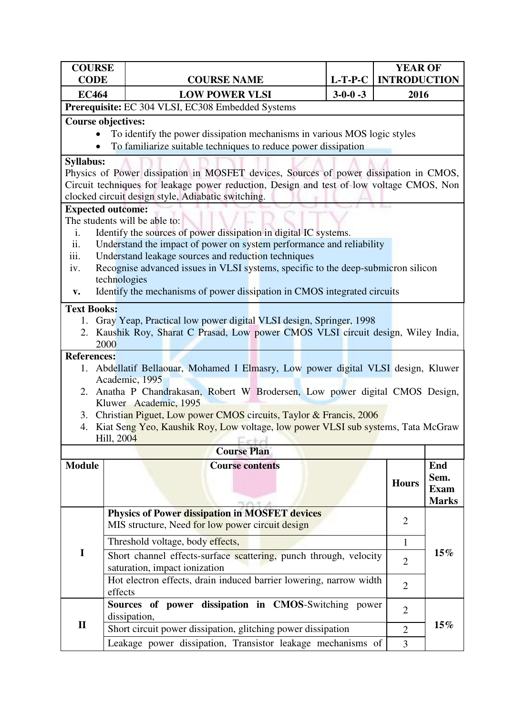| <b>COURSE</b><br><b>CODE</b>               |                                               | <b>COURSE NAME</b>                                                                                                                                                                                                                                                                                                                                               | $L-T-P-C$       | <b>YEAR OF</b><br><b>INTRODUCTION</b> |                                                   |
|--------------------------------------------|-----------------------------------------------|------------------------------------------------------------------------------------------------------------------------------------------------------------------------------------------------------------------------------------------------------------------------------------------------------------------------------------------------------------------|-----------------|---------------------------------------|---------------------------------------------------|
| <b>EC464</b>                               |                                               | <b>LOW POWER VLSI</b>                                                                                                                                                                                                                                                                                                                                            | $3 - 0 - 0 - 3$ | 2016                                  |                                                   |
|                                            |                                               | Prerequisite: EC 304 VLSI, EC308 Embedded Systems                                                                                                                                                                                                                                                                                                                |                 |                                       |                                                   |
| ٠                                          | <b>Course objectives:</b>                     | To identify the power dissipation mechanisms in various MOS logic styles<br>To familiarize suitable techniques to reduce power dissipation                                                                                                                                                                                                                       |                 |                                       |                                                   |
| <b>Syllabus:</b>                           |                                               | Physics of Power dissipation in MOSFET devices, Sources of power dissipation in CMOS,<br>Circuit techniques for leakage power reduction, Design and test of low voltage CMOS, Non<br>clocked circuit design style, Adiabatic switching.                                                                                                                          |                 |                                       |                                                   |
|                                            | <b>Expected outcome:</b>                      |                                                                                                                                                                                                                                                                                                                                                                  |                 |                                       |                                                   |
| i.<br>ii.<br>iii.<br>iv.<br>$\mathbf{v}$ . | The students will be able to:<br>technologies | Identify the sources of power dissipation in digital IC systems.<br>Understand the impact of power on system performance and reliability<br>Understand leakage sources and reduction techniques<br>Recognise advanced issues in VLSI systems, specific to the deep-submicron silicon<br>Identify the mechanisms of power dissipation in CMOS integrated circuits |                 |                                       |                                                   |
|                                            |                                               |                                                                                                                                                                                                                                                                                                                                                                  |                 |                                       |                                                   |
| <b>Text Books:</b><br>1.                   | 2000                                          | Gray Yeap, Practical low power digital VLSI design, Springer, 1998<br>2. Kaushik Roy, Sharat C Prasad, Low power CMOS VLSI circuit design, Wiley India,                                                                                                                                                                                                          |                 |                                       |                                                   |
| <b>References:</b><br>2.                   | Academic, 1995<br>Kluwer Academic, 1995       | 1. Abdellatif Bellaouar, Mohamed I Elmasry, Low power digital VLSI design, Kluwer<br>Anatha P Chandrakasan, Robert W Brodersen, Low power digital CMOS Design,                                                                                                                                                                                                   |                 |                                       |                                                   |
| 4.                                         | Hill, 2004                                    | 3. Christian Piguet, Low power CMOS circuits, Taylor & Francis, 2006<br>Kiat Seng Yeo, Kaushik Roy, Low voltage, low power VLSI sub systems, Tata McGraw<br>the control of the probability of the state of                                                                                                                                                       |                 |                                       |                                                   |
|                                            |                                               | <b>Course Plan</b>                                                                                                                                                                                                                                                                                                                                               |                 |                                       |                                                   |
| <b>Module</b>                              |                                               | <b>Course contents</b>                                                                                                                                                                                                                                                                                                                                           |                 | <b>Hours</b>                          | <b>End</b><br>Sem.<br><b>Exam</b><br><b>Marks</b> |
|                                            |                                               | <b>Physics of Power dissipation in MOSFET devices</b><br>MIS structure, Need for low power circuit design                                                                                                                                                                                                                                                        |                 | $\overline{2}$                        |                                                   |
|                                            |                                               | Threshold voltage, body effects,                                                                                                                                                                                                                                                                                                                                 |                 | $\mathbf{1}$                          |                                                   |
| $\mathbf I$                                |                                               | Short channel effects-surface scattering, punch through, velocity<br>saturation, impact ionization                                                                                                                                                                                                                                                               |                 | $\overline{2}$                        | $15\%$                                            |
|                                            | effects                                       | Hot electron effects, drain induced barrier lowering, narrow width                                                                                                                                                                                                                                                                                               |                 | $\overline{2}$                        |                                                   |
| $\mathbf{I}$                               | dissipation,                                  | Sources of power dissipation in CMOS-Switching power                                                                                                                                                                                                                                                                                                             |                 | $\overline{2}$                        | $15\%$                                            |
|                                            |                                               | Short circuit power dissipation, glitching power dissipation                                                                                                                                                                                                                                                                                                     |                 | $\overline{2}$                        |                                                   |
|                                            |                                               | Leakage power dissipation, Transistor leakage mechanisms of                                                                                                                                                                                                                                                                                                      |                 | 3                                     |                                                   |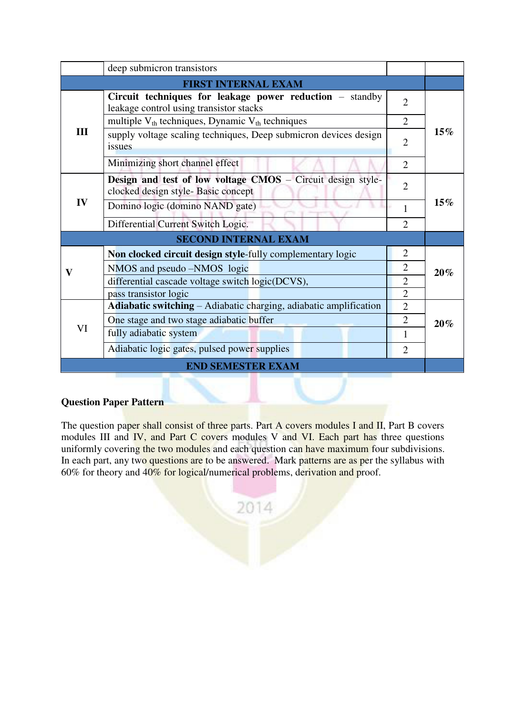|     | deep submicron transistors                                                                               |                |        |  |
|-----|----------------------------------------------------------------------------------------------------------|----------------|--------|--|
|     | <b>FIRST INTERNAL EXAM</b>                                                                               |                |        |  |
|     | Circuit techniques for leakage power reduction $-$ standby<br>leakage control using transistor stacks    | $\overline{2}$ |        |  |
|     | multiple $V_{th}$ techniques, Dynamic $V_{th}$ techniques                                                | $\overline{2}$ |        |  |
| III | supply voltage scaling techniques, Deep submicron devices design<br>issues                               | $\overline{2}$ | 15%    |  |
|     | Minimizing short channel effect                                                                          | $\overline{2}$ |        |  |
|     | <b>Design and test of low voltage CMOS</b> – Circuit design style-<br>clocked design style-Basic concept | $\overline{2}$ |        |  |
| IV  | Domino logic (domino NAND gate)                                                                          | 1              | $15\%$ |  |
|     | Differential Current Switch Logic.                                                                       | $\overline{2}$ |        |  |
|     | <b>SECOND INTERNAL EXAM</b>                                                                              |                |        |  |
|     | Non clocked circuit design style-fully complementary logic                                               | $\overline{2}$ |        |  |
| V   | NMOS and pseudo -NMOS logic                                                                              | $\overline{2}$ | 20%    |  |
|     | differential cascade voltage switch logic(DCVS),                                                         | $\overline{2}$ |        |  |
|     | pass transistor logic                                                                                    | $\overline{2}$ |        |  |
|     | Adiabatic switching - Adiabatic charging, adiabatic amplification                                        | $\overline{2}$ |        |  |
| VI  | One stage and two stage adiabatic buffer                                                                 | $\overline{2}$ | 20%    |  |
|     | fully adiabatic system                                                                                   | 1              |        |  |
|     | Adiabatic logic gates, pulsed power supplies                                                             | $\overline{2}$ |        |  |
|     | <b>END SEMESTER EXAM</b>                                                                                 |                |        |  |

The question paper shall consist of three parts. Part A covers modules I and II, Part B covers modules III and IV, and Part C covers modules V and VI. Each part has three questions uniformly covering the two modules and each question can have maximum four subdivisions. In each part, any two questions are to be answered. Mark patterns are as per the syllabus with 60% for theory and 40% for logical/numerical problems, derivation and proof.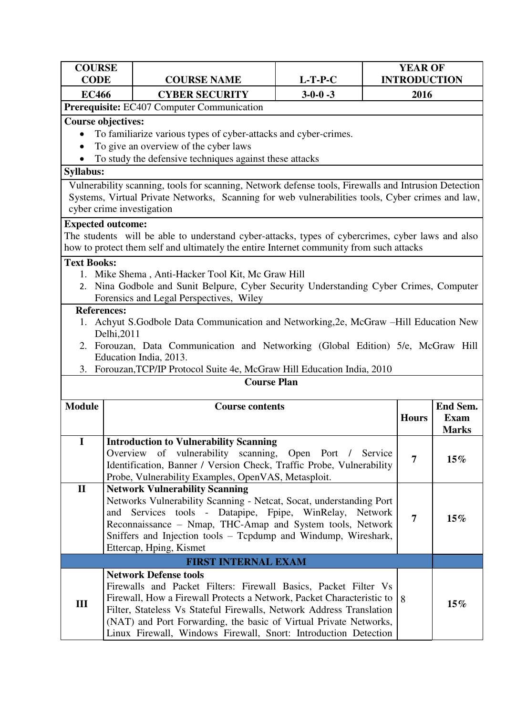| <b>COURSE</b>             |             |                                                                                                                                               |                                              | <b>YEAR OF</b>      |              |
|---------------------------|-------------|-----------------------------------------------------------------------------------------------------------------------------------------------|----------------------------------------------|---------------------|--------------|
| <b>CODE</b>               |             | <b>COURSE NAME</b>                                                                                                                            | $L-T-P-C$                                    | <b>INTRODUCTION</b> |              |
| <b>EC466</b>              |             | <b>CYBER SECURITY</b><br>Prerequisite: EC407 Computer Communication                                                                           | $3-0-0-3$                                    | 2016                |              |
| <b>Course objectives:</b> |             |                                                                                                                                               |                                              |                     |              |
|                           |             | To familiarize various types of cyber-attacks and cyber-crimes.                                                                               |                                              |                     |              |
|                           |             | To give an overview of the cyber laws                                                                                                         |                                              |                     |              |
|                           |             | To study the defensive techniques against these attacks                                                                                       |                                              |                     |              |
| <b>Syllabus:</b>          |             |                                                                                                                                               |                                              |                     |              |
|                           |             | Vulnerability scanning, tools for scanning, Network defense tools, Firewalls and Intrusion Detection                                          |                                              |                     |              |
|                           |             | Systems, Virtual Private Networks, Scanning for web vulnerabilities tools, Cyber crimes and law,                                              |                                              |                     |              |
|                           |             | cyber crime investigation                                                                                                                     |                                              |                     |              |
| <b>Expected outcome:</b>  |             |                                                                                                                                               |                                              |                     |              |
|                           |             | The students will be able to understand cyber-attacks, types of cybercrimes, cyber laws and also                                              |                                              |                     |              |
|                           |             | how to protect them self and ultimately the entire Internet community from such attacks                                                       |                                              |                     |              |
| <b>Text Books:</b>        |             |                                                                                                                                               |                                              |                     |              |
|                           |             | 1. Mike Shema, Anti-Hacker Tool Kit, Mc Graw Hill                                                                                             |                                              |                     |              |
|                           |             | 2. Nina Godbole and Sunit Belpure, Cyber Security Understanding Cyber Crimes, Computer                                                        |                                              |                     |              |
| <b>References:</b>        |             | Forensics and Legal Perspectives, Wiley                                                                                                       |                                              |                     |              |
|                           |             | 1. Achyut S.Godbole Data Communication and Networking, 2e, McGraw -Hill Education New                                                         |                                              |                     |              |
|                           | Delhi, 2011 |                                                                                                                                               |                                              |                     |              |
|                           |             | 2. Forouzan, Data Communication and Networking (Global Edition) 5/e, McGraw Hill                                                              |                                              |                     |              |
|                           |             | Education India, 2013.                                                                                                                        |                                              |                     |              |
|                           |             | 3. Forouzan, TCP/IP Protocol Suite 4e, McGraw Hill Education India, 2010                                                                      |                                              |                     |              |
|                           |             | <b>Course Plan</b>                                                                                                                            |                                              |                     |              |
| <b>Module</b>             |             | <b>Course contents</b>                                                                                                                        |                                              |                     | End Sem.     |
|                           |             |                                                                                                                                               |                                              | <b>Hours</b>        | Exam         |
|                           |             |                                                                                                                                               |                                              |                     | <b>Marks</b> |
| $\bf{I}$                  |             | <b>Introduction to Vulnerability Scanning</b>                                                                                                 |                                              |                     |              |
|                           |             | Overview of vulnerability scanning, Open Port / Service                                                                                       |                                              | $\overline{7}$      | $15\%$       |
|                           |             | Identification, Banner / Version Check, Traffic Probe, Vulnerability<br>Probe, Vulnerability Examples, OpenVAS, Metasploit.                   |                                              |                     |              |
| $\mathbf{I}$              |             | <b>Network Vulnerability Scanning</b>                                                                                                         |                                              |                     |              |
|                           |             | Networks Vulnerability Scanning - Netcat, Socat, understanding Port                                                                           |                                              |                     |              |
|                           | and         | Services tools -                                                                                                                              | Datapipe, Fpipe, WinRelay,<br><b>Network</b> | $\overline{7}$      |              |
|                           |             | Reconnaissance – Nmap, THC-Amap and System tools, Network                                                                                     |                                              |                     | $15\%$       |
|                           |             | Sniffers and Injection tools – Tcpdump and Windump, Wireshark,                                                                                |                                              |                     |              |
|                           |             | Ettercap, Hping, Kismet                                                                                                                       |                                              |                     |              |
|                           |             | <b>FIRST INTERNAL EXAM</b>                                                                                                                    |                                              |                     |              |
|                           |             | <b>Network Defense tools</b>                                                                                                                  |                                              |                     |              |
|                           |             | Firewalls and Packet Filters: Firewall Basics, Packet Filter Vs                                                                               |                                              |                     |              |
| Ш                         |             | Firewall, How a Firewall Protects a Network, Packet Characteristic to<br>Filter, Stateless Vs Stateful Firewalls, Network Address Translation |                                              | 8                   | $15\%$       |
|                           |             | (NAT) and Port Forwarding, the basic of Virtual Private Networks,                                                                             |                                              |                     |              |
|                           |             | Linux Firewall, Windows Firewall, Snort: Introduction Detection                                                                               |                                              |                     |              |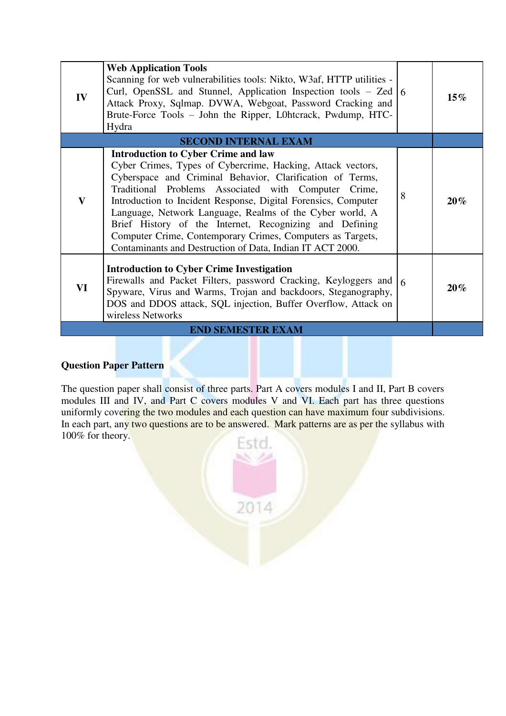| IV           | <b>Web Application Tools</b><br>Scanning for web vulnerabilities tools: Nikto, W3af, HTTP utilities -<br>Curl, OpenSSL and Stunnel, Application Inspection tools $-$ Zed $\vert$ 6<br>Attack Proxy, Sqlmap. DVWA, Webgoat, Password Cracking and<br>Brute-Force Tools – John the Ripper, L0htcrack, Pwdump, HTC-<br>Hydra                                                                                                                                                                                                                          |   | $15\%$ |
|--------------|----------------------------------------------------------------------------------------------------------------------------------------------------------------------------------------------------------------------------------------------------------------------------------------------------------------------------------------------------------------------------------------------------------------------------------------------------------------------------------------------------------------------------------------------------|---|--------|
|              | <b>SECOND INTERNAL EXAM</b>                                                                                                                                                                                                                                                                                                                                                                                                                                                                                                                        |   |        |
| $\mathbf{V}$ | <b>Introduction to Cyber Crime and law</b><br>Cyber Crimes, Types of Cybercrime, Hacking, Attack vectors,<br>Cyberspace and Criminal Behavior, Clarification of Terms,<br>Traditional Problems Associated with Computer Crime,<br>Introduction to Incident Response, Digital Forensics, Computer<br>Language, Network Language, Realms of the Cyber world, A<br>Brief History of the Internet, Recognizing and Defining<br>Computer Crime, Contemporary Crimes, Computers as Targets,<br>Contaminants and Destruction of Data, Indian IT ACT 2000. | 8 | $20\%$ |
| VI           | <b>Introduction to Cyber Crime Investigation</b><br>Firewalls and Packet Filters, password Cracking, Keyloggers and<br>Spyware, Virus and Warms, Trojan and backdoors, Steganography,<br>DOS and DDOS attack, SQL injection, Buffer Overflow, Attack on<br>wireless Networks                                                                                                                                                                                                                                                                       |   | $20\%$ |
|              | <b>END SEMESTER EXAM</b>                                                                                                                                                                                                                                                                                                                                                                                                                                                                                                                           |   |        |

The question paper shall consist of three parts. Part A covers modules I and II, Part B covers modules III and IV, and Part C covers modules V and VI. Each part has three questions uniformly covering the two modules and each question can have maximum four subdivisions. In each part, any two questions are to be answered. Mark patterns are as per the syllabus with 100% for theory.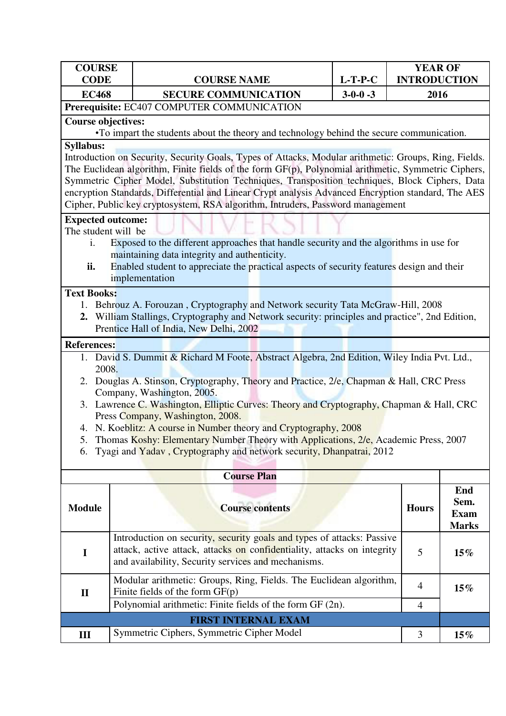| <b>COURSE</b><br><b>CODE</b>                                     | <b>COURSE NAME</b>                                                                                                                                                                                           | $L-T-P-C$       | <b>YEAR OF</b><br><b>INTRODUCTION</b> |              |
|------------------------------------------------------------------|--------------------------------------------------------------------------------------------------------------------------------------------------------------------------------------------------------------|-----------------|---------------------------------------|--------------|
| <b>EC468</b>                                                     | <b>SECURE COMMUNICATION</b>                                                                                                                                                                                  | $3 - 0 - 0 - 3$ | 2016                                  |              |
|                                                                  | Prerequisite: EC407 COMPUTER COMMUNICATION                                                                                                                                                                   |                 |                                       |              |
| <b>Course objectives:</b>                                        |                                                                                                                                                                                                              |                 |                                       |              |
|                                                                  | •To impart the students about the theory and technology behind the secure communication.                                                                                                                     |                 |                                       |              |
| <b>Syllabus:</b>                                                 |                                                                                                                                                                                                              |                 |                                       |              |
|                                                                  | Introduction on Security, Security Goals, Types of Attacks, Modular arithmetic: Groups, Ring, Fields.<br>The Euclidean algorithm, Finite fields of the form GF(p), Polynomial arithmetic, Symmetric Ciphers, |                 |                                       |              |
|                                                                  | Symmetric Cipher Model, Substitution Techniques, Transposition techniques, Block Ciphers, Data                                                                                                               |                 |                                       |              |
|                                                                  | encryption Standards, Differential and Linear Crypt analysis Advanced Encryption standard, The AES                                                                                                           |                 |                                       |              |
|                                                                  | Cipher, Public key cryptosystem, RSA algorithm, Intruders, Password management                                                                                                                               |                 |                                       |              |
| <b>Expected outcome:</b>                                         |                                                                                                                                                                                                              |                 |                                       |              |
| The student will be                                              |                                                                                                                                                                                                              |                 |                                       |              |
| i.                                                               | Exposed to the different approaches that handle security and the algorithms in use for                                                                                                                       |                 |                                       |              |
|                                                                  | maintaining data integrity and authenticity.                                                                                                                                                                 |                 |                                       |              |
| ii.                                                              | Enabled student to appreciate the practical aspects of security features design and their<br>implementation                                                                                                  |                 |                                       |              |
| <b>Text Books:</b>                                               |                                                                                                                                                                                                              |                 |                                       |              |
|                                                                  | 1. Behrouz A. Forouzan, Cryptography and Network security Tata McGraw-Hill, 2008                                                                                                                             |                 |                                       |              |
| 2.                                                               | William Stallings, Cryptography and Network security: principles and practice", 2nd Edition,                                                                                                                 |                 |                                       |              |
|                                                                  | Prentice Hall of India, New Delhi, 2002                                                                                                                                                                      |                 |                                       |              |
| <b>References:</b>                                               |                                                                                                                                                                                                              |                 |                                       |              |
|                                                                  | 1. David S. Dummit & Richard M Foote, Abstract Algebra, 2nd Edition, Wiley India Pvt. Ltd.,                                                                                                                  |                 |                                       |              |
| 2008.                                                            |                                                                                                                                                                                                              |                 |                                       |              |
|                                                                  | 2. Douglas A. Stinson, Cryptography, Theory and Practice, 2/e, Chapman & Hall, CRC Press<br>Company, Washington, 2005.                                                                                       |                 |                                       |              |
|                                                                  | 3. Lawrence C. Washington, Elliptic Curves: Theory and Cryptography, Chapman & Hall, CRC                                                                                                                     |                 |                                       |              |
|                                                                  | Press Company, Washington, 2008.                                                                                                                                                                             |                 |                                       |              |
| 4.                                                               | N. Koeblitz: A course in Number theory and Cryptography, 2008                                                                                                                                                |                 |                                       |              |
|                                                                  | Thomas Koshy: Elementary Number Theory with Applications, 2/e, Academic Press, 2007                                                                                                                          |                 |                                       |              |
| 6.                                                               | Tyagi and Yadav, Cryptography and network security, Dhanpatrai, 2012                                                                                                                                         |                 |                                       |              |
|                                                                  | <b>Course Plan</b>                                                                                                                                                                                           |                 |                                       |              |
|                                                                  |                                                                                                                                                                                                              |                 |                                       | End          |
|                                                                  |                                                                                                                                                                                                              |                 |                                       | Sem.         |
| <b>Module</b>                                                    | <b>Course contents</b>                                                                                                                                                                                       |                 | <b>Hours</b>                          | <b>Exam</b>  |
|                                                                  |                                                                                                                                                                                                              |                 |                                       | <b>Marks</b> |
|                                                                  | Introduction on security, security goals and types of attacks: Passive                                                                                                                                       |                 |                                       |              |
| $\mathbf I$                                                      | attack, active attack, attacks on confidentiality, attacks on integrity                                                                                                                                      |                 | 5                                     | $15\%$       |
|                                                                  | and availability, Security services and mechanisms.                                                                                                                                                          |                 |                                       |              |
|                                                                  | Modular arithmetic: Groups, Ring, Fields. The Euclidean algorithm,                                                                                                                                           |                 |                                       |              |
| 4<br>$15\%$<br>Finite fields of the form $GF(p)$<br>$\mathbf{I}$ |                                                                                                                                                                                                              |                 |                                       |              |
|                                                                  | Polynomial arithmetic: Finite fields of the form GF (2n).                                                                                                                                                    |                 | $\overline{4}$                        |              |
|                                                                  | <b>FIRST INTERNAL EXAM</b>                                                                                                                                                                                   |                 |                                       |              |
| III                                                              | Symmetric Ciphers, Symmetric Cipher Model                                                                                                                                                                    |                 | 3                                     | $15\%$       |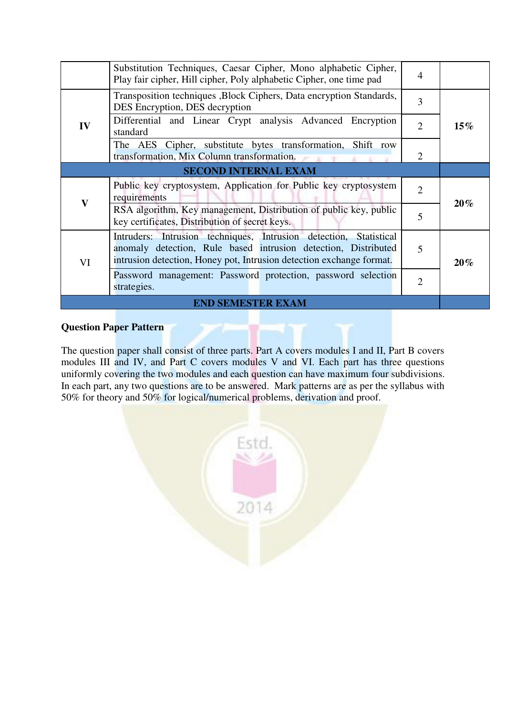|                             | Substitution Techniques, Caesar Cipher, Mono alphabetic Cipher,<br>Play fair cipher, Hill cipher, Poly alphabetic Cipher, one time pad                                                                      | 4              |        |  |
|-----------------------------|-------------------------------------------------------------------------------------------------------------------------------------------------------------------------------------------------------------|----------------|--------|--|
| IV                          | Transposition techniques , Block Ciphers, Data encryption Standards,<br>DES Encryption, DES decryption                                                                                                      | 3              | $15\%$ |  |
|                             | Differential and Linear Crypt analysis Advanced Encryption<br>standard                                                                                                                                      | $\overline{2}$ |        |  |
|                             | The AES Cipher, substitute bytes transformation, Shift row<br>transformation, Mix Column transformation.                                                                                                    | 2              |        |  |
| <b>SECOND INTERNAL EXAM</b> |                                                                                                                                                                                                             |                |        |  |
| $\mathbf{V}$                | Public key cryptosystem, Application for Public key cryptosystem<br>requirements                                                                                                                            | $\overline{2}$ |        |  |
|                             | RSA algorithm, Key management, Distribution of public key, public<br>key certificates, Distribution of secret keys.                                                                                         | 5              | $20\%$ |  |
| VI                          | Intruders: Intrusion techniques, Intrusion detection, Statistical<br>anomaly detection, Rule based intrusion detection, Distributed<br>intrusion detection, Honey pot, Intrusion detection exchange format. | 5              | 20%    |  |
|                             | Password management: Password protection, password selection<br>strategies.                                                                                                                                 | 2              |        |  |
| <b>END SEMESTER EXAM</b>    |                                                                                                                                                                                                             |                |        |  |

The question paper shall consist of three parts. Part A covers modules I and II, Part B covers modules III and IV, and Part C covers modules V and VI. Each part has three questions uniformly covering the two modules and each question can have maximum four subdivisions. In each part, any two questions are to be answered. Mark patterns are as per the syllabus with 50% for theory and 50% for logical/numerical problems, derivation and proof.

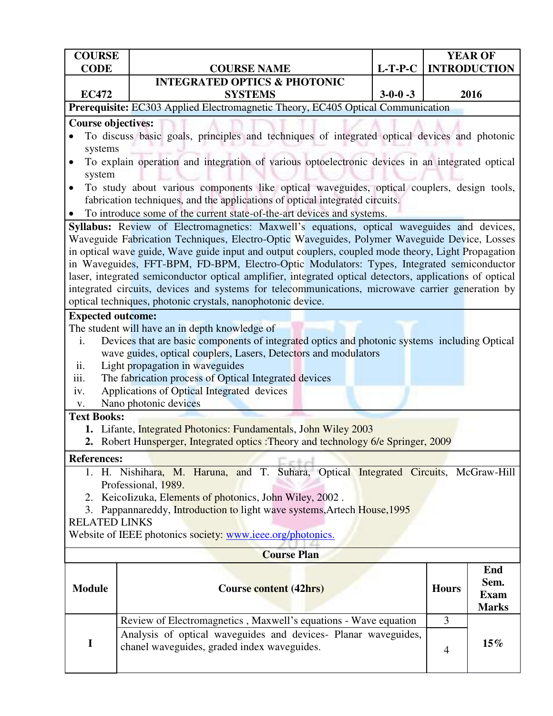| <b>COURSE</b><br><b>CODE</b>                                    | <b>COURSE NAME</b>                                                                                                                                                                                    | $L-T-P-C$       |                | <b>YEAR OF</b><br><b>INTRODUCTION</b> |  |
|-----------------------------------------------------------------|-------------------------------------------------------------------------------------------------------------------------------------------------------------------------------------------------------|-----------------|----------------|---------------------------------------|--|
|                                                                 | <b>INTEGRATED OPTICS &amp; PHOTONIC</b>                                                                                                                                                               |                 |                |                                       |  |
| <b>EC472</b>                                                    | <b>SYSTEMS</b>                                                                                                                                                                                        | $3 - 0 - 0 - 3$ |                | 2016                                  |  |
|                                                                 | Prerequisite: EC303 Applied Electromagnetic Theory, EC405 Optical Communication                                                                                                                       |                 |                |                                       |  |
| <b>Course objectives:</b>                                       |                                                                                                                                                                                                       |                 |                |                                       |  |
|                                                                 | To discuss basic goals, principles and techniques of integrated optical devices and photonic                                                                                                          |                 |                |                                       |  |
| systems                                                         |                                                                                                                                                                                                       |                 |                |                                       |  |
| system                                                          | To explain operation and integration of various optoelectronic devices in an integrated optical                                                                                                       |                 |                |                                       |  |
| $\bullet$                                                       | To study about various components like optical waveguides, optical couplers, design tools,<br>fabrication techniques, and the applications of optical integrated circuits.                            |                 |                |                                       |  |
| $\bullet$                                                       | To introduce some of the current state-of-the-art devices and systems.                                                                                                                                |                 |                |                                       |  |
|                                                                 | Syllabus: Review of Electromagnetics: Maxwell's equations, optical waveguides and devices,                                                                                                            |                 |                |                                       |  |
|                                                                 | Waveguide Fabrication Techniques, Electro-Optic Waveguides, Polymer Waveguide Device, Losses                                                                                                          |                 |                |                                       |  |
|                                                                 | in optical wave guide, Wave guide input and output couplers, coupled mode theory, Light Propagation                                                                                                   |                 |                |                                       |  |
|                                                                 | in Waveguides, FFT-BPM, FD-BPM, Electro-Optic Modulators: Types, Integrated semiconductor<br>laser, integrated semiconductor optical amplifier, integrated optical detectors, applications of optical |                 |                |                                       |  |
|                                                                 | integrated circuits, devices and systems for telecommunications, microwave carrier generation by                                                                                                      |                 |                |                                       |  |
|                                                                 | optical techniques, photonic crystals, nanophotonic device.                                                                                                                                           |                 |                |                                       |  |
| <b>Expected outcome:</b>                                        |                                                                                                                                                                                                       |                 |                |                                       |  |
|                                                                 | The student will have an in depth knowledge of                                                                                                                                                        |                 |                |                                       |  |
| i.                                                              | Devices that are basic components of integrated optics and photonic systems including Optical                                                                                                         |                 |                |                                       |  |
|                                                                 | wave guides, optical couplers, Lasers, Detectors and modulators                                                                                                                                       |                 |                |                                       |  |
| ii.                                                             | Light propagation in waveguides                                                                                                                                                                       |                 |                |                                       |  |
| iii.                                                            | The fabrication process of Optical Integrated devices                                                                                                                                                 |                 |                |                                       |  |
| iv.                                                             | Applications of Optical Integrated devices                                                                                                                                                            |                 |                |                                       |  |
| V.                                                              | Nano photonic devices                                                                                                                                                                                 |                 |                |                                       |  |
| <b>Text Books:</b>                                              |                                                                                                                                                                                                       |                 |                |                                       |  |
|                                                                 | 1. Lifante, Integrated Photonics: Fundamentals, John Wiley 2003<br>2. Robert Hunsperger, Integrated optics : Theory and technology 6/e Springer, 2009                                                 |                 |                |                                       |  |
| <b>References:</b>                                              |                                                                                                                                                                                                       |                 |                |                                       |  |
|                                                                 | 1. H. Nishihara, M. Haruna, and T. Suhara, Optical Integrated Circuits, McGraw-Hill                                                                                                                   |                 |                |                                       |  |
|                                                                 | Professional, 1989.                                                                                                                                                                                   |                 |                |                                       |  |
|                                                                 | 2. Keicolizuka, Elements of photonics, John Wiley, 2002.                                                                                                                                              |                 |                |                                       |  |
| 3.                                                              | Pappannareddy, Introduction to light wave systems, Artech House, 1995                                                                                                                                 |                 |                |                                       |  |
| <b>RELATED LINKS</b>                                            |                                                                                                                                                                                                       |                 |                |                                       |  |
| Website of IEEE photonics society: www.ieee.org/photonics.      |                                                                                                                                                                                                       |                 |                |                                       |  |
| <b>Course Plan</b>                                              |                                                                                                                                                                                                       |                 |                |                                       |  |
|                                                                 |                                                                                                                                                                                                       |                 |                | End<br>Sem.                           |  |
| <b>Module</b>                                                   | <b>Course content (42hrs)</b>                                                                                                                                                                         |                 | <b>Hours</b>   | <b>Exam</b>                           |  |
|                                                                 |                                                                                                                                                                                                       |                 |                | <b>Marks</b>                          |  |
| Review of Electromagnetics, Maxwell's equations - Wave equation |                                                                                                                                                                                                       |                 | 3              |                                       |  |
| $\mathbf I$                                                     | Analysis of optical waveguides and devices- Planar waveguides,                                                                                                                                        |                 |                | 15%                                   |  |
|                                                                 | chanel waveguides, graded index waveguides.                                                                                                                                                           |                 | $\overline{4}$ |                                       |  |
|                                                                 |                                                                                                                                                                                                       |                 |                |                                       |  |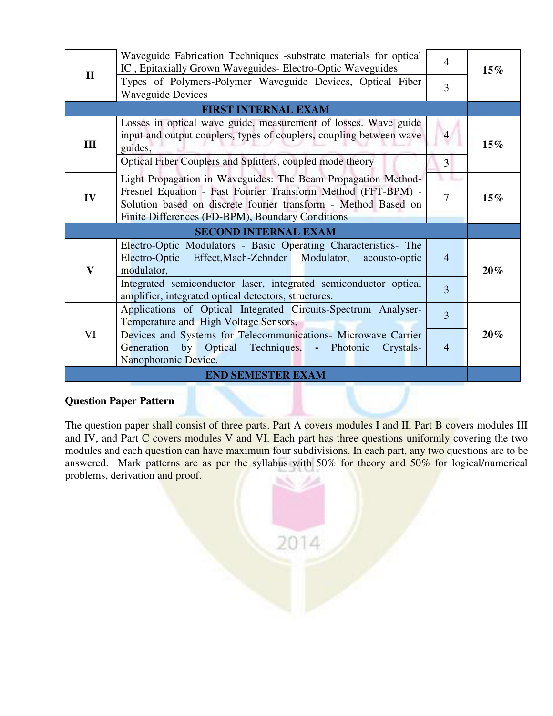| $\mathbf{I}$                | Waveguide Fabrication Techniques -substrate materials for optical<br>IC, Epitaxially Grown Waveguides- Electro-Optic Waveguides<br>Types of Polymers-Polymer Waveguide Devices, Optical Fiber<br><b>Waveguide Devices</b>                           | $\overline{4}$<br>3 | $15\%$ |  |  |
|-----------------------------|-----------------------------------------------------------------------------------------------------------------------------------------------------------------------------------------------------------------------------------------------------|---------------------|--------|--|--|
|                             | <b>FIRST INTERNAL EXAM</b>                                                                                                                                                                                                                          |                     |        |  |  |
| Ш                           | Losses in optical wave guide, measurement of losses. Wave guide<br>input and output couplers, types of couplers, coupling between wave<br>guides,                                                                                                   | $\overline{4}$      | $15\%$ |  |  |
|                             | Optical Fiber Couplers and Splitters, coupled mode theory                                                                                                                                                                                           | 3                   |        |  |  |
| IV                          | Light Propagation in Waveguides: The Beam Propagation Method-<br>Fresnel Equation - Fast Fourier Transform Method (FFT-BPM) -<br>Solution based on discrete fourier transform - Method Based on<br>Finite Differences (FD-BPM), Boundary Conditions |                     | $15\%$ |  |  |
| <b>SECOND INTERNAL EXAM</b> |                                                                                                                                                                                                                                                     |                     |        |  |  |
| $\mathbf{V}$                | Electro-Optic Modulators - Basic Operating Characteristics- The<br>Electro-Optic<br>Effect, Mach-Zehnder Modulator,<br>acousto-optic<br>modulator,                                                                                                  | $\overline{4}$      | $20\%$ |  |  |
|                             | Integrated semiconductor laser, integrated semiconductor optical<br>amplifier, integrated optical detectors, structures.                                                                                                                            | 3                   |        |  |  |
| VI                          | Applications of Optical Integrated Circuits-Spectrum Analyser-<br>Temperature and High Voltage Sensors,                                                                                                                                             | $\overline{3}$      |        |  |  |
|                             | Devices and Systems for Telecommunications- Microwave Carrier<br>Generation by Optical Techniques, - Photonic<br>Crystals-<br>Nanophotonic Device.                                                                                                  | $\overline{4}$      | $20\%$ |  |  |
| <b>END SEMESTER EXAM</b>    |                                                                                                                                                                                                                                                     |                     |        |  |  |

The question paper shall consist of three parts. Part A covers modules I and II, Part B covers modules III and IV, and Part C covers modules V and VI. Each part has three questions uniformly covering the two modules and each question can have maximum four subdivisions. In each part, any two questions are to be answered. Mark patterns are as per the syllabus with 50% for theory and 50% for logical/numerical problems, derivation and proof.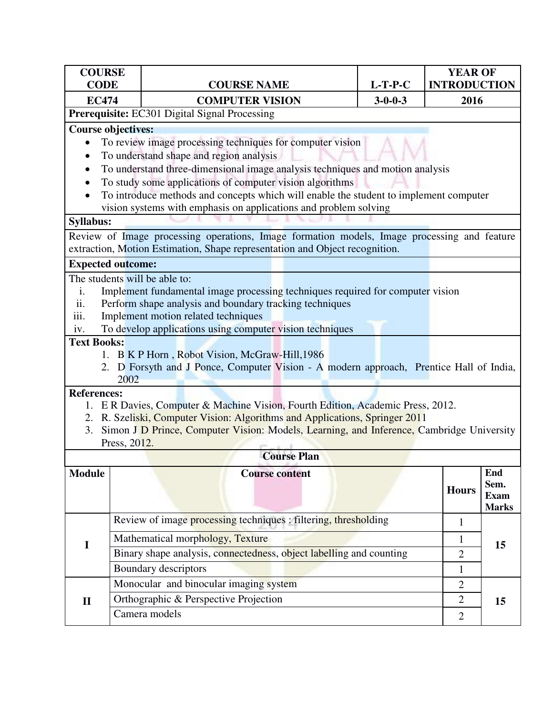| <b>COURSE</b><br><b>CODE</b>                                                                |                                                         | <b>COURSE NAME</b>                                                                                                                                                         | $L-T-P-C$               | <b>YEAR OF</b><br><b>INTRODUCTION</b> |                     |  |  |
|---------------------------------------------------------------------------------------------|---------------------------------------------------------|----------------------------------------------------------------------------------------------------------------------------------------------------------------------------|-------------------------|---------------------------------------|---------------------|--|--|
| <b>EC474</b>                                                                                |                                                         | <b>COMPUTER VISION</b>                                                                                                                                                     | $3 - 0 - 0 - 3$<br>2016 |                                       |                     |  |  |
|                                                                                             |                                                         | Prerequisite: EC301 Digital Signal Processing                                                                                                                              |                         |                                       |                     |  |  |
| <b>Course objectives:</b>                                                                   |                                                         |                                                                                                                                                                            |                         |                                       |                     |  |  |
|                                                                                             |                                                         | To review image processing techniques for computer vision                                                                                                                  |                         |                                       |                     |  |  |
|                                                                                             |                                                         | To understand shape and region analysis                                                                                                                                    |                         |                                       |                     |  |  |
| $\bullet$                                                                                   |                                                         | To understand three-dimensional image analysis techniques and motion analysis                                                                                              |                         |                                       |                     |  |  |
|                                                                                             |                                                         | To study some applications of computer vision algorithms                                                                                                                   |                         |                                       |                     |  |  |
|                                                                                             |                                                         | To introduce methods and concepts which will enable the student to implement computer                                                                                      |                         |                                       |                     |  |  |
| <b>Syllabus:</b>                                                                            |                                                         | vision systems with emphasis on applications and problem solving                                                                                                           |                         |                                       |                     |  |  |
|                                                                                             |                                                         |                                                                                                                                                                            |                         |                                       |                     |  |  |
|                                                                                             |                                                         | Review of Image processing operations, Image formation models, Image processing and feature<br>extraction, Motion Estimation, Shape representation and Object recognition. |                         |                                       |                     |  |  |
| <b>Expected outcome:</b>                                                                    |                                                         |                                                                                                                                                                            |                         |                                       |                     |  |  |
|                                                                                             |                                                         | The students will be able to:                                                                                                                                              |                         |                                       |                     |  |  |
| i.                                                                                          |                                                         | Implement fundamental image processing techniques required for computer vision                                                                                             |                         |                                       |                     |  |  |
| ii.                                                                                         | Perform shape analysis and boundary tracking techniques |                                                                                                                                                                            |                         |                                       |                     |  |  |
| iii.                                                                                        |                                                         | Implement motion related techniques                                                                                                                                        |                         |                                       |                     |  |  |
| iv.                                                                                         |                                                         | To develop applications using computer vision techniques                                                                                                                   |                         |                                       |                     |  |  |
| <b>Text Books:</b>                                                                          |                                                         |                                                                                                                                                                            |                         |                                       |                     |  |  |
|                                                                                             |                                                         | 1. B K P Horn, Robot Vision, McGraw-Hill, 1986<br>2. D Forsyth and J Ponce, Computer Vision - A modern approach, Prentice Hall of India,                                   |                         |                                       |                     |  |  |
|                                                                                             | 2002                                                    |                                                                                                                                                                            |                         |                                       |                     |  |  |
| <b>References:</b>                                                                          |                                                         |                                                                                                                                                                            |                         |                                       |                     |  |  |
|                                                                                             |                                                         | 1. E R Davies, Computer & Machine Vision, Fourth Edition, Academic Press, 2012.                                                                                            |                         |                                       |                     |  |  |
|                                                                                             |                                                         | 2. R. Szeliski, Computer Vision: Algorithms and Applications, Springer 2011                                                                                                |                         |                                       |                     |  |  |
| 3. Simon J D Prince, Computer Vision: Models, Learning, and Inference, Cambridge University |                                                         |                                                                                                                                                                            |                         |                                       |                     |  |  |
| Press, 2012.                                                                                |                                                         |                                                                                                                                                                            |                         |                                       |                     |  |  |
| <b>Course Plan</b>                                                                          |                                                         |                                                                                                                                                                            |                         |                                       |                     |  |  |
| <b>Module</b>                                                                               |                                                         | <b>Course content</b>                                                                                                                                                      |                         |                                       | End                 |  |  |
|                                                                                             |                                                         |                                                                                                                                                                            |                         | <b>Hours</b>                          | Sem.<br><b>Exam</b> |  |  |
|                                                                                             |                                                         |                                                                                                                                                                            |                         |                                       | <b>Marks</b>        |  |  |
|                                                                                             |                                                         | Review of image processing techniques : filtering, thresholding                                                                                                            |                         | $\mathbf{1}$                          |                     |  |  |
|                                                                                             |                                                         | Mathematical morphology, Texture                                                                                                                                           |                         | $\mathbf{1}$                          | 15                  |  |  |
| I                                                                                           |                                                         | Binary shape analysis, connectedness, object labelling and counting                                                                                                        |                         | $\mathbf{2}$                          |                     |  |  |
|                                                                                             |                                                         | Boundary descriptors                                                                                                                                                       |                         | $\mathbf{1}$                          |                     |  |  |
|                                                                                             |                                                         | Monocular and binocular imaging system                                                                                                                                     |                         | $\overline{2}$                        |                     |  |  |
| $\mathbf{I}$                                                                                |                                                         | Orthographic & Perspective Projection                                                                                                                                      |                         | $\overline{2}$                        | 15                  |  |  |
|                                                                                             |                                                         | Camera models                                                                                                                                                              |                         | $\overline{2}$                        |                     |  |  |